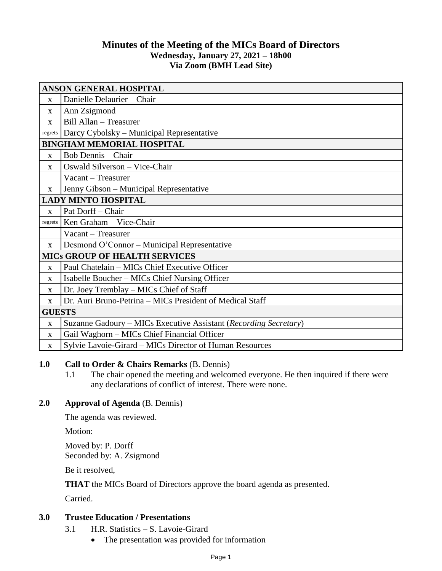# **Minutes of the Meeting of the MICs Board of Directors Wednesday, January 27, 2021 – 18h00 Via Zoom (BMH Lead Site)**

| ANSON GENERAL HOSPITAL               |                                                                  |
|--------------------------------------|------------------------------------------------------------------|
| $\mathbf{X}$                         | Danielle Delaurier - Chair                                       |
| $\mathbf{X}$                         | Ann Zsigmond                                                     |
| X                                    | Bill Allan - Treasurer                                           |
| regrets                              | Darcy Cybolsky – Municipal Representative                        |
| <b>BINGHAM MEMORIAL HOSPITAL</b>     |                                                                  |
| $\mathbf{X}$                         | Bob Dennis - Chair                                               |
| $\mathbf{X}$                         | Oswald Silverson - Vice-Chair                                    |
|                                      | Vacant - Treasurer                                               |
| X                                    | Jenny Gibson - Municipal Representative                          |
| <b>LADY MINTO HOSPITAL</b>           |                                                                  |
| $\mathbf{X}$                         | Pat Dorff - Chair                                                |
| regrets                              | Ken Graham - Vice-Chair                                          |
|                                      | Vacant – Treasurer                                               |
| $\mathbf{X}$                         | Desmond O'Connor – Municipal Representative                      |
| <b>MICS GROUP OF HEALTH SERVICES</b> |                                                                  |
| $\mathbf{X}$                         | Paul Chatelain - MICs Chief Executive Officer                    |
| X                                    | Isabelle Boucher – MICs Chief Nursing Officer                    |
| $\mathbf{X}$                         | Dr. Joey Tremblay - MICs Chief of Staff                          |
| X                                    | Dr. Auri Bruno-Petrina - MICs President of Medical Staff         |
| <b>GUESTS</b>                        |                                                                  |
| $\mathbf{X}$                         | Suzanne Gadoury – MICs Executive Assistant (Recording Secretary) |
| $\mathbf{X}$                         | Gail Waghorn - MICs Chief Financial Officer                      |
| X                                    | Sylvie Lavoie-Girard - MICs Director of Human Resources          |

# **1.0 Call to Order & Chairs Remarks** (B. Dennis)

1.1 The chair opened the meeting and welcomed everyone. He then inquired if there were any declarations of conflict of interest. There were none.

# **2.0 Approval of Agenda** (B. Dennis)

The agenda was reviewed.

Motion:

Moved by: P. Dorff Seconded by: A. Zsigmond

Be it resolved,

**THAT** the MICs Board of Directors approve the board agenda as presented.

Carried.

# **3.0 Trustee Education / Presentations**

- 3.1 H.R. Statistics S. Lavoie-Girard
	- The presentation was provided for information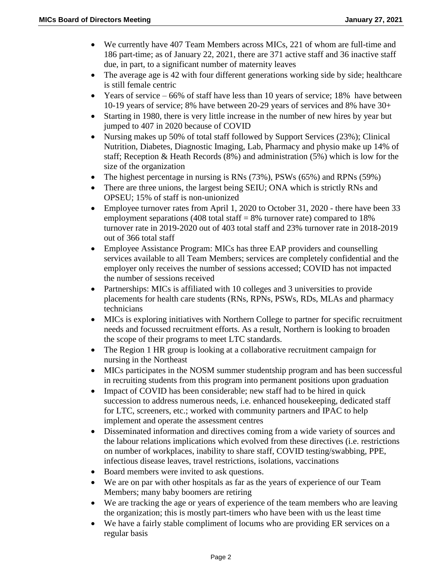- We currently have 407 Team Members across MICs, 221 of whom are full-time and 186 part-time; as of January 22, 2021, there are 371 active staff and 36 inactive staff due, in part, to a significant number of maternity leaves
- The average age is 42 with four different generations working side by side; healthcare is still female centric
- Years of service 66% of staff have less than 10 years of service; 18% have between 10-19 years of service; 8% have between 20-29 years of services and 8% have 30+
- Starting in 1980, there is very little increase in the number of new hires by year but jumped to 407 in 2020 because of COVID
- Nursing makes up 50% of total staff followed by Support Services (23%); Clinical Nutrition, Diabetes, Diagnostic Imaging, Lab, Pharmacy and physio make up 14% of staff; Reception & Heath Records (8%) and administration (5%) which is low for the size of the organization
- The highest percentage in nursing is RNs (73%), PSWs (65%) and RPNs (59%)
- There are three unions, the largest being SEIU; ONA which is strictly RNs and OPSEU; 15% of staff is non-unionized
- Employee turnover rates from April 1, 2020 to October 31, 2020 there have been 33 employment separations (408 total staff  $= 8\%$  turnover rate) compared to 18% turnover rate in 2019-2020 out of 403 total staff and 23% turnover rate in 2018-2019 out of 366 total staff
- Employee Assistance Program: MICs has three EAP providers and counselling services available to all Team Members; services are completely confidential and the employer only receives the number of sessions accessed; COVID has not impacted the number of sessions received
- Partnerships: MICs is affiliated with 10 colleges and 3 universities to provide placements for health care students (RNs, RPNs, PSWs, RDs, MLAs and pharmacy technicians
- MICs is exploring initiatives with Northern College to partner for specific recruitment needs and focussed recruitment efforts. As a result, Northern is looking to broaden the scope of their programs to meet LTC standards.
- The Region 1 HR group is looking at a collaborative recruitment campaign for nursing in the Northeast
- MICs participates in the NOSM summer studentship program and has been successful in recruiting students from this program into permanent positions upon graduation
- Impact of COVID has been considerable; new staff had to be hired in quick succession to address numerous needs, i.e. enhanced housekeeping, dedicated staff for LTC, screeners, etc.; worked with community partners and IPAC to help implement and operate the assessment centres
- Disseminated information and directives coming from a wide variety of sources and the labour relations implications which evolved from these directives (i.e. restrictions on number of workplaces, inability to share staff, COVID testing/swabbing, PPE, infectious disease leaves, travel restrictions, isolations, vaccinations
- Board members were invited to ask questions.
- We are on par with other hospitals as far as the years of experience of our Team Members; many baby boomers are retiring
- We are tracking the age or years of experience of the team members who are leaving the organization; this is mostly part-timers who have been with us the least time
- We have a fairly stable compliment of locums who are providing ER services on a regular basis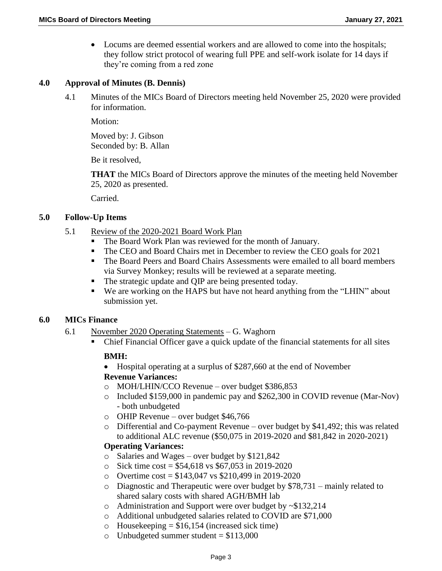Locums are deemed essential workers and are allowed to come into the hospitals; they follow strict protocol of wearing full PPE and self-work isolate for 14 days if they're coming from a red zone

## **4.0 Approval of Minutes (B. Dennis)**

4.1 Minutes of the MICs Board of Directors meeting held November 25, 2020 were provided for information.

Motion:

Moved by: J. Gibson Seconded by: B. Allan

Be it resolved,

**THAT** the MICs Board of Directors approve the minutes of the meeting held November 25, 2020 as presented.

Carried.

# **5.0 Follow-Up Items**

- 5.1 Review of the 2020-2021 Board Work Plan
	- The Board Work Plan was reviewed for the month of January.
	- The CEO and Board Chairs met in December to review the CEO goals for 2021
	- The Board Peers and Board Chairs Assessments were emailed to all board members via Survey Monkey; results will be reviewed at a separate meeting.
	- The strategic update and QIP are being presented today.
	- We are working on the HAPS but have not heard anything from the "LHIN" about submission yet.

## **6.0 MICs Finance**

- 6.1 November 2020 Operating Statements G. Waghorn
	- Chief Financial Officer gave a quick update of the financial statements for all sites

# **BMH:**

Hospital operating at a surplus of \$287,660 at the end of November

# **Revenue Variances:**

- o MOH/LHIN/CCO Revenue over budget \$386,853
- o Included \$159,000 in pandemic pay and \$262,300 in COVID revenue (Mar-Nov) - both unbudgeted
- o OHIP Revenue over budget \$46,766
- o Differential and Co-payment Revenue over budget by \$41,492; this was related to additional ALC revenue (\$50,075 in 2019-2020 and \$81,842 in 2020-2021)

# **Operating Variances:**

- o Salaries and Wages over budget by \$121,842
- $\circ$  Sick time cost = \$54,618 vs \$67,053 in 2019-2020
- o Overtime cost =  $$143,047$  vs  $$210,499$  in 2019-2020
- o Diagnostic and Therapeutic were over budget by \$78,731 mainly related to shared salary costs with shared AGH/BMH lab
- o Administration and Support were over budget by ~\$132,214
- o Additional unbudgeted salaries related to COVID are \$71,000
- o Housekeeping  $= $16,154$  (increased sick time)
- $\circ$  Unbudgeted summer student = \$113,000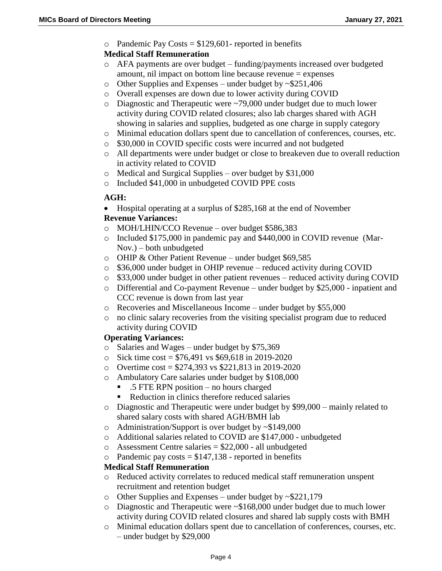$\circ$  Pandemic Pay Costs = \$129,601- reported in benefits

# **Medical Staff Remuneration**

- $\circ$  AFA payments are over budget funding/payments increased over budgeted amount, nil impact on bottom line because revenue = expenses
- $\circ$  Other Supplies and Expenses under budget by ~\$251,406
- o Overall expenses are down due to lower activity during COVID
- $\circ$  Diagnostic and Therapeutic were  $\sim$  79,000 under budget due to much lower activity during COVID related closures; also lab charges shared with AGH showing in salaries and supplies, budgeted as one charge in supply category
- o Minimal education dollars spent due to cancellation of conferences, courses, etc.
- o \$30,000 in COVID specific costs were incurred and not budgeted
- o All departments were under budget or close to breakeven due to overall reduction in activity related to COVID
- o Medical and Surgical Supplies over budget by \$31,000
- o Included \$41,000 in unbudgeted COVID PPE costs

# **AGH:**

• Hospital operating at a surplus of \$285,168 at the end of November

# **Revenue Variances:**

- o MOH/LHIN/CCO Revenue over budget \$586,383
- o Included \$175,000 in pandemic pay and \$440,000 in COVID revenue (Mar-Nov.) – both unbudgeted
- o OHIP & Other Patient Revenue under budget \$69,585
- o \$36,000 under budget in OHIP revenue reduced activity during COVID
- $\circ$  \$33,000 under budget in other patient revenues reduced activity during COVID
- o Differential and Co-payment Revenue under budget by \$25,000 inpatient and CCC revenue is down from last year
- o Recoveries and Miscellaneous Income under budget by \$55,000
- o no clinic salary recoveries from the visiting specialist program due to reduced activity during COVID

# **Operating Variances:**

- o Salaries and Wages under budget by \$75,369
- $\circ$  Sick time cost = \$76,491 vs \$69,618 in 2019-2020
- o Overtime cost = \$274,393 vs \$221,813 in 2019-2020
- o Ambulatory Care salaries under budget by \$108,000
	- .5 FTE RPN position no hours charged
	- Reduction in clinics therefore reduced salaries
- o Diagnostic and Therapeutic were under budget by \$99,000 mainly related to shared salary costs with shared AGH/BMH lab
- o Administration/Support is over budget by ~\$149,000
- o Additional salaries related to COVID are \$147,000 unbudgeted
- $\circ$  Assessment Centre salaries = \$22,000 all unbudgeted
- o Pandemic pay costs  $= $147,138$  reported in benefits

# **Medical Staff Remuneration**

- o Reduced activity correlates to reduced medical staff remuneration unspent recruitment and retention budget
- $\circ$  Other Supplies and Expenses under budget by ~\$221,179
- $\circ$  Diagnostic and Therapeutic were  $\sim$ \$168,000 under budget due to much lower activity during COVID related closures and shared lab supply costs with BMH
- o Minimal education dollars spent due to cancellation of conferences, courses, etc. – under budget by \$29,000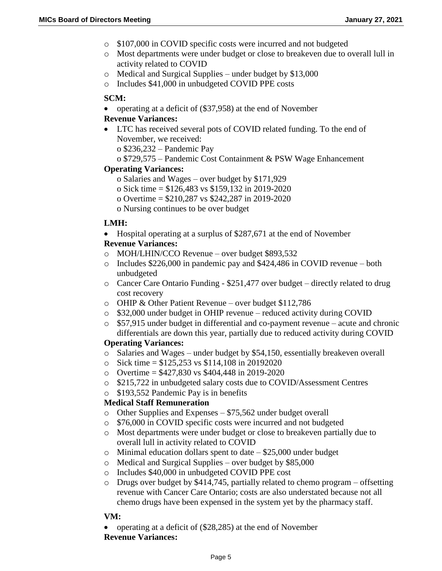- o \$107,000 in COVID specific costs were incurred and not budgeted
- o Most departments were under budget or close to breakeven due to overall lull in activity related to COVID
- o Medical and Surgical Supplies under budget by \$13,000
- o Includes \$41,000 in unbudgeted COVID PPE costs

#### **SCM:**

• operating at a deficit of (\$37,958) at the end of November

## **Revenue Variances:**

- LTC has received several pots of COVID related funding. To the end of November, we received:
	- o \$236,232 Pandemic Pay
	- o \$729,575 Pandemic Cost Containment & PSW Wage Enhancement

#### **Operating Variances:**

- o Salaries and Wages over budget by \$171,929
- o Sick time = \$126,483 vs \$159,132 in 2019-2020
- o Overtime = \$210,287 vs \$242,287 in 2019-2020
- o Nursing continues to be over budget

#### **LMH:**

• Hospital operating at a surplus of \$287,671 at the end of November

## **Revenue Variances:**

- o MOH/LHIN/CCO Revenue over budget \$893,532
- o Includes \$226,000 in pandemic pay and \$424,486 in COVID revenue both unbudgeted
- o Cancer Care Ontario Funding \$251,477 over budget directly related to drug cost recovery
- o OHIP & Other Patient Revenue over budget \$112,786
- o \$32,000 under budget in OHIP revenue reduced activity during COVID
- $\circ$  \$57,915 under budget in differential and co-payment revenue acute and chronic differentials are down this year, partially due to reduced activity during COVID

#### **Operating Variances:**

- o Salaries and Wages under budget by \$54,150, essentially breakeven overall
- $\circ$  Sick time = \$125,253 vs \$114,108 in 20192020
- o Overtime = \$427,830 vs \$404,448 in 2019-2020
- o \$215,722 in unbudgeted salary costs due to COVID/Assessment Centres
- o \$193,552 Pandemic Pay is in benefits

## **Medical Staff Remuneration**

- o Other Supplies and Expenses \$75,562 under budget overall
- o \$76,000 in COVID specific costs were incurred and not budgeted
- o Most departments were under budget or close to breakeven partially due to overall lull in activity related to COVID
- $\circ$  Minimal education dollars spent to date  $-$  \$25,000 under budget
- o Medical and Surgical Supplies over budget by \$85,000
- o Includes \$40,000 in unbudgeted COVID PPE cost
- $\circ$  Drugs over budget by \$414,745, partially related to chemo program offsetting revenue with Cancer Care Ontario; costs are also understated because not all chemo drugs have been expensed in the system yet by the pharmacy staff.

## **VM:**

• operating at a deficit of  $(\$28,285)$  at the end of November **Revenue Variances:**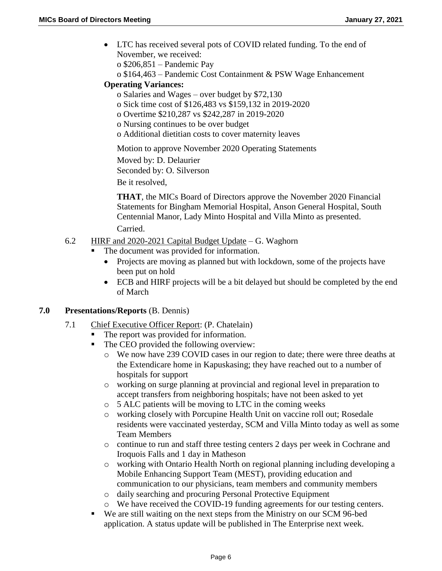- LTC has received several pots of COVID related funding. To the end of November, we received:
	- o \$206,851 Pandemic Pay
	- o \$164,463 Pandemic Cost Containment & PSW Wage Enhancement

# **Operating Variances:**

- o Salaries and Wages over budget by \$72,130
- o Sick time cost of \$126,483 vs \$159,132 in 2019-2020
- o Overtime \$210,287 vs \$242,287 in 2019-2020
- o Nursing continues to be over budget
- o Additional dietitian costs to cover maternity leaves

Motion to approve November 2020 Operating Statements

Moved by: D. Delaurier Seconded by: O. Silverson

Be it resolved,

**THAT**, the MICs Board of Directors approve the November 2020 Financial Statements for Bingham Memorial Hospital, Anson General Hospital, South Centennial Manor, Lady Minto Hospital and Villa Minto as presented. Carried.

# 6.2 HIRF and 2020-2021 Capital Budget Update – G. Waghorn

- The document was provided for information.
	- Projects are moving as planned but with lockdown, some of the projects have been put on hold
	- ECB and HIRF projects will be a bit delayed but should be completed by the end of March

## **7.0 Presentations/Reports** (B. Dennis)

- 7.1 Chief Executive Officer Report: (P. Chatelain)
	- The report was provided for information.
	- The CEO provided the following overview:
		- o We now have 239 COVID cases in our region to date; there were three deaths at the Extendicare home in Kapuskasing; they have reached out to a number of hospitals for support
		- o working on surge planning at provincial and regional level in preparation to accept transfers from neighboring hospitals; have not been asked to yet
		- o 5 ALC patients will be moving to LTC in the coming weeks
		- o working closely with Porcupine Health Unit on vaccine roll out; Rosedale residents were vaccinated yesterday, SCM and Villa Minto today as well as some Team Members
		- o continue to run and staff three testing centers 2 days per week in Cochrane and Iroquois Falls and 1 day in Matheson
		- o working with Ontario Health North on regional planning including developing a Mobile Enhancing Support Team (MEST), providing education and communication to our physicians, team members and community members
		- o daily searching and procuring Personal Protective Equipment
		- o We have received the COVID-19 funding agreements for our testing centers.
	- We are still waiting on the next steps from the Ministry on our SCM 96-bed application. A status update will be published in The Enterprise next week.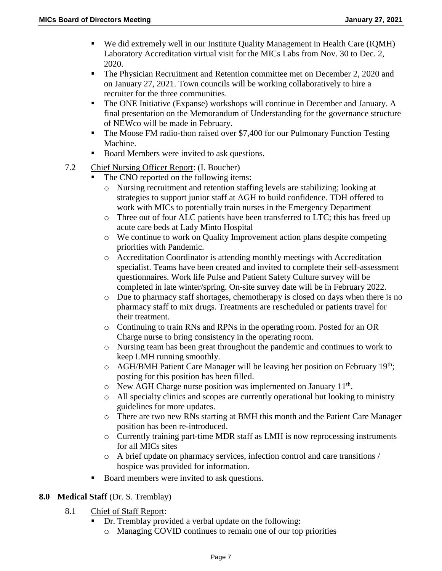- We did extremely well in our Institute Quality Management in Health Care (IQMH) Laboratory Accreditation virtual visit for the MICs Labs from Nov. 30 to Dec. 2, 2020.
- The Physician Recruitment and Retention committee met on December 2, 2020 and on January 27, 2021. Town councils will be working collaboratively to hire a recruiter for the three communities.
- The ONE Initiative (Expanse) workshops will continue in December and January. A final presentation on the Memorandum of Understanding for the governance structure of NEWco will be made in February.
- The Moose FM radio-thon raised over \$7,400 for our Pulmonary Function Testing Machine.
- Board Members were invited to ask questions.
- 7.2 Chief Nursing Officer Report: (I. Boucher)
	- The CNO reported on the following items:
		- o Nursing recruitment and retention staffing levels are stabilizing; looking at strategies to support junior staff at AGH to build confidence. TDH offered to work with MICs to potentially train nurses in the Emergency Department
		- o Three out of four ALC patients have been transferred to LTC; this has freed up acute care beds at Lady Minto Hospital
		- o We continue to work on Quality Improvement action plans despite competing priorities with Pandemic.
		- o Accreditation Coordinator is attending monthly meetings with Accreditation specialist. Teams have been created and invited to complete their self-assessment questionnaires. Work life Pulse and Patient Safety Culture survey will be completed in late winter/spring. On-site survey date will be in February 2022.
		- o Due to pharmacy staff shortages, chemotherapy is closed on days when there is no pharmacy staff to mix drugs. Treatments are rescheduled or patients travel for their treatment.
		- o Continuing to train RNs and RPNs in the operating room. Posted for an OR Charge nurse to bring consistency in the operating room.
		- o Nursing team has been great throughout the pandemic and continues to work to keep LMH running smoothly.
		- $\circ$  AGH/BMH Patient Care Manager will be leaving her position on February 19<sup>th</sup>; posting for this position has been filled.
		- $\circ$  New AGH Charge nurse position was implemented on January 11<sup>th</sup>.
		- o All specialty clinics and scopes are currently operational but looking to ministry guidelines for more updates.
		- o There are two new RNs starting at BMH this month and the Patient Care Manager position has been re-introduced.
		- o Currently training part-time MDR staff as LMH is now reprocessing instruments for all MICs sites
		- o A brief update on pharmacy services, infection control and care transitions / hospice was provided for information.
	- Board members were invited to ask questions.

## **8.0 Medical Staff** (Dr. S. Tremblay)

- 8.1 Chief of Staff Report:
	- Dr. Tremblay provided a verbal update on the following: o Managing COVID continues to remain one of our top priorities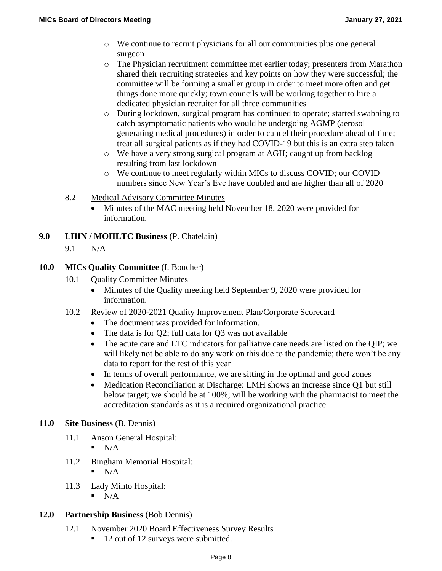- o We continue to recruit physicians for all our communities plus one general surgeon
- o The Physician recruitment committee met earlier today; presenters from Marathon shared their recruiting strategies and key points on how they were successful; the committee will be forming a smaller group in order to meet more often and get things done more quickly; town councils will be working together to hire a dedicated physician recruiter for all three communities
- o During lockdown, surgical program has continued to operate; started swabbing to catch asymptomatic patients who would be undergoing AGMP (aerosol generating medical procedures) in order to cancel their procedure ahead of time; treat all surgical patients as if they had COVID-19 but this is an extra step taken
- o We have a very strong surgical program at AGH; caught up from backlog resulting from last lockdown
- o We continue to meet regularly within MICs to discuss COVID; our COVID numbers since New Year's Eve have doubled and are higher than all of 2020
- 8.2 Medical Advisory Committee Minutes
	- Minutes of the MAC meeting held November 18, 2020 were provided for information.
- **9.0 LHIN / MOHLTC Business** (P. Chatelain)
	- 9.1 N/A

# **10.0 MICs Quality Committee** (I. Boucher)

- 10.1 **Quality Committee Minutes** 
	- Minutes of the Quality meeting held September 9, 2020 were provided for information.
- 10.2 Review of 2020-2021 Quality Improvement Plan/Corporate Scorecard
	- The document was provided for information.
	- The data is for Q2; full data for Q3 was not available
	- The acute care and LTC indicators for palliative care needs are listed on the QIP; we will likely not be able to do any work on this due to the pandemic; there won't be any data to report for the rest of this year
	- In terms of overall performance, we are sitting in the optimal and good zones
	- Medication Reconciliation at Discharge: LMH shows an increase since Q1 but still below target; we should be at 100%; will be working with the pharmacist to meet the accreditation standards as it is a required organizational practice

## **11.0 Site Business** (B. Dennis)

- 11.1 Anson General Hospital:  $N/A$
- 11.2 Bingham Memorial Hospital:
	- $\blacksquare$  N/A
- 11.3 Lady Minto Hospital:
	- $\blacksquare$  N/A

# **12.0 Partnership Business** (Bob Dennis)

- 12.1 November 2020 Board Effectiveness Survey Results
	- 12 out of 12 surveys were submitted.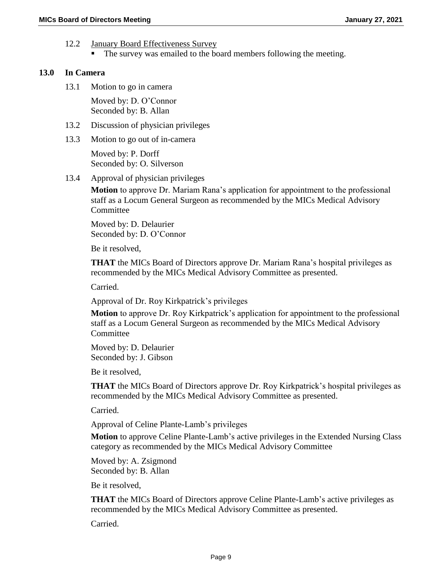#### 12.2 January Board Effectiveness Survey

The survey was emailed to the board members following the meeting.

#### **13.0 In Camera**

13.1 Motion to go in camera

Moved by: D. O'Connor Seconded by: B. Allan

- 13.2 Discussion of physician privileges
- 13.3 Motion to go out of in-camera

Moved by: P. Dorff Seconded by: O. Silverson

13.4 Approval of physician privileges

**Motion** to approve Dr. Mariam Rana's application for appointment to the professional staff as a Locum General Surgeon as recommended by the MICs Medical Advisory Committee

Moved by: D. Delaurier Seconded by: D. O'Connor

Be it resolved,

**THAT** the MICs Board of Directors approve Dr. Mariam Rana's hospital privileges as recommended by the MICs Medical Advisory Committee as presented.

Carried.

Approval of Dr. Roy Kirkpatrick's privileges

**Motion** to approve Dr. Roy Kirkpatrick's application for appointment to the professional staff as a Locum General Surgeon as recommended by the MICs Medical Advisory **Committee** 

Moved by: D. Delaurier Seconded by: J. Gibson

Be it resolved,

**THAT** the MICs Board of Directors approve Dr. Roy Kirkpatrick's hospital privileges as recommended by the MICs Medical Advisory Committee as presented.

Carried.

Approval of Celine Plante-Lamb's privileges

**Motion** to approve Celine Plante-Lamb's active privileges in the Extended Nursing Class category as recommended by the MICs Medical Advisory Committee

Moved by: A. Zsigmond Seconded by: B. Allan

Be it resolved,

**THAT** the MICs Board of Directors approve Celine Plante-Lamb's active privileges as recommended by the MICs Medical Advisory Committee as presented.

Carried.